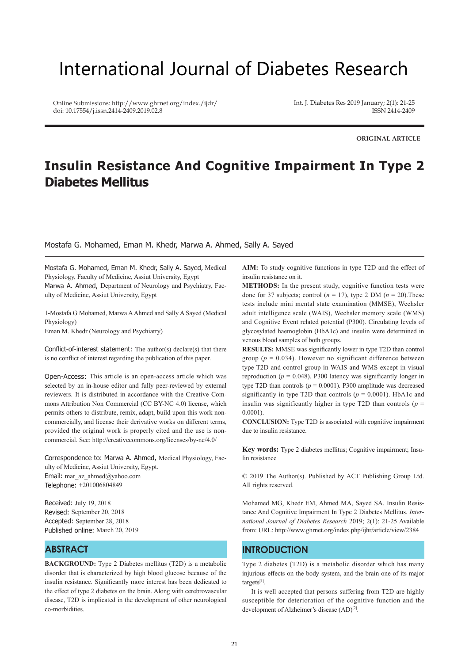# International Journal of Diabetes Research

Online Submissions: http://www.ghrnet.org/index./ijdr/ doi: 10.17554/j.issn.2414-2409.2019.02.8

Int. J. Diabetes Res 2019 January; 2(1): 21-25 ISSN 2414-2409

**ORIGINAL ARTICLE**

# **Insulin Resistance And Cognitive Impairment In Type 2 Diabetes Mellitus**

Mostafa G. Mohamed, Eman M. Khedr, Marwa A. Ahmed, Sally A. Sayed

Mostafa G. Mohamed, Eman M. Khedr, Sally A. Sayed, Medical Physiology, Faculty of Medicine, Assiut University, Egypt Marwa A. Ahmed, Department of Neurology and Psychiatry, Faculty of Medicine, Assiut University, Egypt

1-Mostafa G Mohamed, Marwa A Ahmed and Sally A Sayed (Medical Physiology)

Eman M. Khedr (Neurology and Psychiatry)

Conflict-of-interest statement: The author(s) declare(s) that there is no conflict of interest regarding the publication of this paper.

Open-Access: This article is an open-access article which was selected by an in-house editor and fully peer-reviewed by external reviewers. It is distributed in accordance with the Creative Commons Attribution Non Commercial (CC BY-NC 4.0) license, which permits others to distribute, remix, adapt, build upon this work noncommercially, and license their derivative works on different terms, provided the original work is properly cited and the use is noncommercial. See: http://creativecommons.org/licenses/by-nc/4.0/

Correspondence to: Marwa A. Ahmed, Medical Physiology, Faculty of Medicine, Assiut University, Egypt. Email: mar\_az\_ahmed@yahoo.com Telephone: +201006804849

Received: July 19, 2018 Revised: September 20, 2018 Accepted: September 28, 2018 Published online: March 20, 2019

# **ABSTRACT**

**BACKGROUND:** Type 2 Diabetes mellitus (T2D) is a metabolic disorder that is characterized by high blood glucose because of the insulin resistance. Significantly more interest has been dedicated to the effect of type 2 diabetes on the brain. Along with cerebrovascular disease, T2D is implicated in the development of other neurological co-morbidities.

**AIM:** To study cognitive functions in type T2D and the effect of insulin resistance on it.

**METHODS:** In the present study, cognitive function tests were done for 37 subjects; control  $(n = 17)$ , type 2 DM  $(n = 20)$ . These tests include mini mental state examination (MMSE), Wechsler adult intelligence scale (WAIS), Wechsler memory scale (WMS) and Cognitive Event related potential (P300). Circulating levels of glycosylated haemoglobin (HbA1c) and insulin were determined in venous blood samples of both groups.

**RESULTS:** MMSE was significantly lower in type T2D than control group ( $p = 0.034$ ). However no significant difference between type T2D and control group in WAIS and WMS except in visual reproduction ( $p = 0.048$ ). P300 latency was significantly longer in type T2D than controls  $(p = 0.0001)$ . P300 amplitude was decreased significantly in type T2D than controls  $(p = 0.0001)$ . HbA1c and insulin was significantly higher in type T2D than controls ( $p =$ 0.0001).

**CONCLUSION:** Type T2D is associated with cognitive impairment due to insulin resistance.

**Key words:** Type 2 diabetes mellitus; Cognitive impairment; Insulin resistance

© 2019 The Author(s). Published by ACT Publishing Group Ltd. All rights reserved.

Mohamed MG, Khedr EM, Ahmed MA, Sayed SA. Insulin Resistance And Cognitive Impairment In Type 2 Diabetes Mellitus. *International Journal of Diabetes Research* 2019; 2(1): 21-25 Available from: URL: http://www.ghrnet.org/index.php/ijhr/article/view/2384

# **INTRODUCTION**

Type 2 diabetes (T2D) is a metabolic disorder which has many injurious effects on the body system, and the brain one of its major targets[1].

 It is well accepted that persons suffering from T2D are highly susceptible for deterioration of the cognitive function and the development of Alzheimer's disease (AD)<sup>[2]</sup>.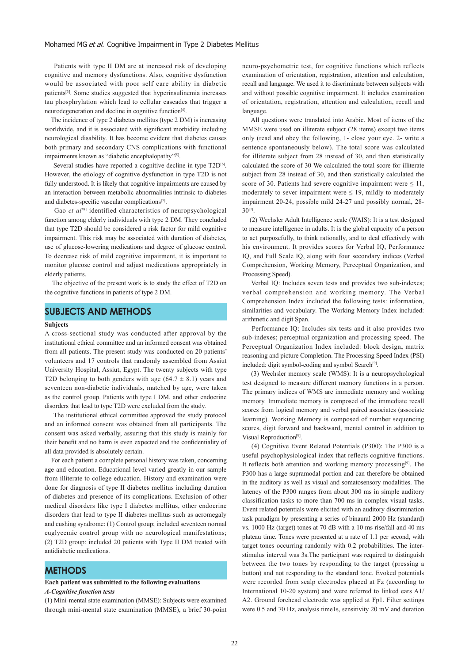#### Mohamed MG et al. Cognitive Impairment in Type 2 Diabetes Mellitus

 Patients with type II DM are at increased risk of developing cognitive and memory dysfunctions. Also, cognitive dysfunction would be associated with poor self care ability in diabetic patients[3]. Some studies suggested that hyperinsulinemia increases tau phosphrylation which lead to cellular cascades that trigger a neurodegeneration and decline in cognitive function<sup>[4]</sup>.

 The incidence of type 2 diabetes mellitus (type 2 DM) is increasing worldwide, and it is associated with significant morbidity including neurological disability. It has become evident that diabetes causes both primary and secondary CNS complications with functional impairments known as "diabetic encephalopathy"[5].

Several studies have reported a cognitive decline in type T2D<sup>[6]</sup>. However, the etiology of cognitive dysfunction in type T2D is not fully understood. It is likely that cognitive impairments are caused by an interaction between metabolic abnormalities intrinsic to diabetes and diabetes-specific vascular complications[7].

Gao et al<sup>[8]</sup> identified characteristics of neuropsychological function among elderly individuals with type 2 DM. They concluded that type T2D should be considered a risk factor for mild cognitive impairment. This risk may be associated with duration of diabetes, use of glucose-lowering medications and degree of glucose control. To decrease risk of mild cognitive impairment, it is important to monitor glucose control and adjust medications appropriately in elderly patients.

 The objective of the present work is to study the effect of T2D on the cognitive functions in patients of type 2 DM.

# **SUBJECTS AND METHODS**

#### **Subjects**

A cross-sectional study was conducted after approval by the institutional ethical committee and an informed consent was obtained from all patients. The present study was conducted on 20 patients' volunteers and 17 controls that randomly assembled from Assiut University Hospital, Assiut, Egypt. The twenty subjects with type T2D belonging to both genders with age  $(64.7 \pm 8.1)$  years and seventeen non-diabetic individuals, matched by age, were taken as the control group. Patients with type I DM. and other endocrine disorders that lead to type T2D were excluded from the study.

 The institutional ethical committee approved the study protocol and an informed consent was obtained from all participants. The consent was asked verbally, assuring that this study is mainly for their benefit and no harm is even expected and the confidentiality of all data provided is absolutely certain.

 For each patient a complete personal history was taken, concerning age and education. Educational level varied greatly in our sample from illiterate to college education. History and examination were done for diagnosis of type II diabetes mellitus including duration of diabetes and presence of its complications. Exclusion of other medical disorders like type I diabetes mellitus, other endocrine disorders that lead to type II diabetes mellitus such as acromegaly and cushing syndrome: (1) Control group; included seventeen normal euglycemic control group with no neurological manifestations; (2) T2D group: included 20 patients with Type II DM treated with antidiabetic medications.

# **METHODS**

#### **Each patient was submitted to the following evaluations** *A-Cognitive function tests*

(1) Mini-mental state examination (MMSE): Subjects were examined through mini-mental state examination (MMSE), a brief 30-point neuro-psychometric test, for cognitive functions which reflects examination of orientation, registration, attention and calculation, recall and language. We used it to discriminate between subjects with and without possible cognitive impairment. It includes examination of orientation, registration, attention and calculation, recall and language.

 All questions were translated into Arabic. Most of items of the MMSE were used on illiterate subject (28 items) except two items only (read and obey the following, 1- close your eye. 2- write a sentence spontaneously below). The total score was calculated for illiterate subject from 28 instead of 30, and then statistically calculated the score of 30 We calculated the total score for illiterate subject from 28 instead of 30, and then statistically calculated the score of 30. Patients had severe cognitive impairment were  $\leq 11$ , moderately to sever impairment were  $\leq$  19, mildly to moderately impairment 20-24, possible mild 24-27 and possibly normal, 28- 30[7].

 (2) Wechsler Adult Intelligence scale (WAIS): It is a test designed to measure intelligence in adults. It is the global capacity of a person to act purposefully, to think rationally, and to deal effectively with his environment. It provides scores for Verbal IQ, Performance IQ, and Full Scale IQ, along with four secondary indices (Verbal Comprehension, Working Memory, Perceptual Organization, and Processing Speed).

 Verbal IQ: Includes seven tests and provides two sub-indexes; verbal comprehension and working memory. The Verbal Comprehension Index included the following tests: information, similarities and vocabulary. The Working Memory Index included: arithmetic and digit Span.

 Performance IQ: Includes six tests and it also provides two sub-indexes; perceptual organization and processing speed. The Perceptual Organization Index included: block design**,** matrix reasoning and picture Completion. The Processing Speed Index (PSI) included: digit symbol-coding and symbol Search<sup>[9]</sup>.

 (3) Wechsler memory scale (WMS): It is a neuropsychological test designed to measure different memory functions in a person. The primary indices of WMS are immediate memory and working memory. Immediate memory is composed of the immediate recall scores from logical memory and verbal paired associates (associate learning). Working Memory is composed of number sequencing scores, digit forward and backward, mental control in addition to Visual Reproduction[9].

 (4) Cognitive Event Related Potentials (P300): The P300 is a useful psychophysiological index that reflects cognitive functions. It reflects both attention and working memory processing $[9]$ . The P300 has a large supramodal portion and can therefore be obtained in the auditory as well as visual and somatosensory modalities. The latency of the P300 ranges from about 300 ms in simple auditory classification tasks to more than 700 ms in complex visual tasks. Event related potentials were elicited with an auditory discrimination task paradigm by presenting a series of binaural 2000 Hz (standard) vs. 1000 Hz (target) tones at 70 dB with a 10 ms rise/fall and 40 ms plateau time. Tones were presented at a rate of 1.1 per second, with target tones occurring randomly with 0.2 probabilities. The interstimulus interval was 3s.The participant was required to distinguish between the two tones by responding to the target (pressing a button) and not responding to the standard tone. Evoked potentials were recorded from scalp electrodes placed at Fz (according to International 10-20 system) and were referred to linked ears A1/ A2. Ground forehead electrode was applied at Fp1. Filter settings were 0.5 and 70 Hz, analysis time1s, sensitivity 20 mV and duration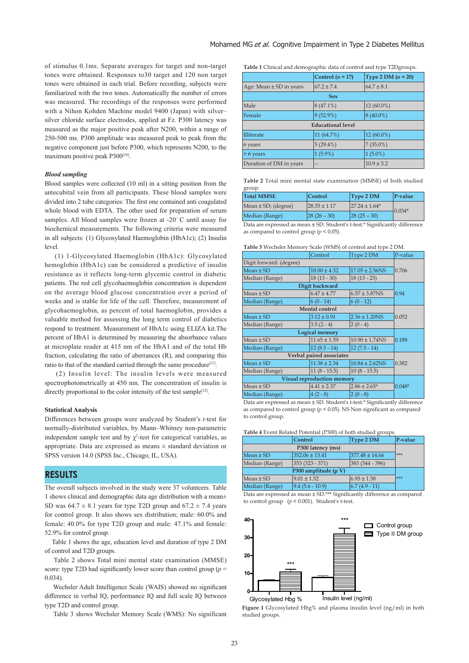of stimulus 0.1ms. Separate averages for target and non-target tones were obtained. Responses to30 target and 120 non target tones were obtained in each trial. Before recording, subjects were familiarized with the two tones. Automatically the number of errors was measured. The recordings of the responses were performed with a Nihon Kohden Machine model 9400 (Japan) with silver– silver chloride surface electrodes, applied at Fz. P300 latency was measured as the major positive peak after N200, within a range of 250-500 ms. P300 amplitude was measured peak to peak from the negative component just before P300, which represents N200, to the maximum positive peak P300<sup>[10]</sup>.

#### *Blood sampling*

Blood samples were collected (10 ml) in a sitting position from the antecubital vein from all participants. These blood samples were divided into 2 tube categories: The first one contained anti coagulated whole blood with EDTA. The other used for preparation of serum samples. All blood samples were frozen at -20°C until assay for biochemical measurements. The following criteria were measured in all subjects: (1) Glycosylated Haemoglobin (HbA1c); (2) Insulin level.

(1) 1-Glycosylated Haemoglobin (HbA1c): Glycosylated hemoglobin (HbA1c) can be considered a predictive of insulin resistance as it reflects long-term glycemic control in diabetic patients. The red cell glycohaemoglobin concentration is dependent on the average blood glucose concentration over a period of weeks and is stable for life of the cell. Therefore, measurement of glycohaemoglobin, as percent of total haemoglobin, provides a valuable method for assessing the long term control of diabetics respond to treatment. Measurement of HbA1c using ELIZA kit.The percent of HbA1 is determined by measuring the absorbance values at microplate reader at 415 nm of the HbA1 and of the total Hb fraction, calculating the ratio of aberrances (R), and comparing this ratio to that of the standard carried through the same procedure<sup>[11]</sup>.

 (2) Insulin level: The insulin levels were measured spectrophotometrically at 450 nm. The concentration of insulin is directly proportional to the color intensity of the test sample<sup>[12]</sup>.

#### **Statistical Analysis**

Differences between groups were analyzed by Student's *t*-test for normally-distributed variables, by Mann–Whitney non-parametric independent sample test and by  $\chi^2$ -test for categorical variables, as appropriate. Data are expressed as means  $\pm$  standard deviation or SPSS version 14.0 (SPSS Inc., Chicago, IL, USA).

# **RESULTS**

The overall subjects involved in the study were 37 volunteers. Table 1 shows clinical and demographic data age distribution with a mean± SD was  $64.7 \pm 8.1$  years for type T2D group and  $67.2 \pm 7.4$  years for control group. It also shows sex distribution; male: 60.0% and female: 40.0% for type T2D group and male: 47.1% and female: 52.9% for control group.

 Table 1 shows the age, education level and duration of type 2 DM of control and T2D groups.

 Table 2 shows Total mini mental state examination (MMSE) score: type T2D had significantly lower score than control group (*p* = 0.034).

 Wechsler Adult Intelligence Scale (WAIS) showed no significant difference in verbal IQ, performance IQ and full scale IQ between type T2D and control group.

Table 3 shows Wechsler Memory Scale (WMS): No significant

**Table 1** Clinical and demographic data of control and type T2Dgroups.

|                             | Control $(n = 17)$ | Type 2 DM $(n = 20)$ |  |  |
|-----------------------------|--------------------|----------------------|--|--|
| Age: Mean $\pm$ SD in years | $67.2 \pm 7.4$     | $64.7 \pm 8.1$       |  |  |
|                             | <b>Sex</b>         |                      |  |  |
| Male                        | $8(47.1\%)$        | 12 (60.0%)           |  |  |
| Female                      | $9(52.9\%)$        | $8(40.0\%)$          |  |  |
| <b>Educational level</b>    |                    |                      |  |  |
| <b>Illiterate</b>           | 11 (64.7%)         | $12(60.0\%)$         |  |  |
| 6 years                     | $5(29.4\%)$        | $7(35.0\%)$          |  |  |
| $> 6$ years                 | $1(5.9\%)$         | $1(5.0\%)$           |  |  |
| Duration of DM in years     | --                 | $10.9 \pm 3.2$       |  |  |

**Table 2** Total mini mental state examination (MMSE) of both studied group.

| <b>Total MMSE</b>                                                            | Control           | Type 2 DM         | P-value   |  |
|------------------------------------------------------------------------------|-------------------|-------------------|-----------|--|
| Mean $\pm$ SD; (degree)                                                      | $128.35 \pm 1.17$ | $27.24 \pm 1.64*$ | $-0.034*$ |  |
| Median (Range)                                                               | $ 28(26-30) $     | $ 28(25-30) $     |           |  |
| Data are expressed as mean + SD, Student's t toot * Significantly difference |                   |                   |           |  |

Data are expressed as mean ± SD. Student's t-test.\* Significantly difference as compared to control group (*p* < 0.05).

|  | Table 3 Wechsler Memory Scale (WMS) of control and type 2 DM. |  |  |
|--|---------------------------------------------------------------|--|--|
|--|---------------------------------------------------------------|--|--|

|                                                                              | Control               | Type 2 DM           | P-value  |  |
|------------------------------------------------------------------------------|-----------------------|---------------------|----------|--|
| Digit forward: (degree)                                                      |                       |                     |          |  |
| $Mean \pm SD$                                                                | $18.00 \pm 4.32$      | $17.05 \pm 2.56$ NS | 0.706    |  |
| Median (Range)                                                               | $18(13-30)$           | $18(13 - 23)$       |          |  |
|                                                                              | Digit backward        |                     |          |  |
| $Mean \pm SD$                                                                | $6.47 \pm 4.77$       | $6.57 \pm 3.87$ NS  | 0.94     |  |
| Median (Range)                                                               | $6(0-14)$             | $6(0 - 12)$         |          |  |
|                                                                              | <b>Mental control</b> |                     |          |  |
| $Mean \pm SD$                                                                | $3.12 \pm 0.91$       | $2.36 \pm 1.20$ NS  | 0.052    |  |
| Median (Range)                                                               | $3.5(2-4)$            | $2(0-4)$            |          |  |
| <b>Logical memory</b>                                                        |                       |                     |          |  |
| $Mean \pm SD$                                                                | $11.65 \pm 1.59$      | $10.90 \pm 1.74$ NS | 0.188    |  |
| Median (Range)                                                               | $12(8.5 - 14)$        | $12(7.5 - 14)$      |          |  |
| Verbal paired associates                                                     |                       |                     |          |  |
| $Mean \pm SD$                                                                | $11.38 \pm 2.34$      | $10.84 \pm 2.62$ NS | 0.382    |  |
| Median (Range)                                                               | $11(8 - 15.5)$        | $10(8 - 15.5)$      |          |  |
| Visual reproduction memory                                                   |                       |                     |          |  |
| $Mean \pm SD$                                                                | $4.41 \pm 2.37$       | $2.86 \pm 2.65*$    | $0.048*$ |  |
| Median (Range)                                                               | $4(2-8)$              | $2(0-8)$            |          |  |
| Data are expressed as mean ± SD. Student's t-test.* Significantly difference |                       |                     |          |  |

as compared to control group (*p* < 0.05). NS Non significant as compared to control group.

| Table 4 Event Related Potential (P300) of both studied groups. |  |  |
|----------------------------------------------------------------|--|--|
|                                                                |  |  |

|                      | <b>Control</b>     | Type 2 DM          | P-value |  |
|----------------------|--------------------|--------------------|---------|--|
|                      |                    |                    |         |  |
| Mean ± SD            | $352.06 \pm 13.41$ | $377.48 \pm 14.66$ | ***     |  |
| Median (Range)       | $353(323 - 371)$   | 383 (344 - 396)    |         |  |
| P300 amplitude (µ V) |                    |                    |         |  |
| Mean ± SD            | $9.01 \pm 1.52$    | $6.93 \pm 1.58$    | ***     |  |
| Median (Range)       | $9.4(5.6 - 10.9)$  | $6.7(4.9-11)$      |         |  |

Data are expressed as mean ± SD.\*\*\* Significantly difference as compared to control group (*p* < 0.001). Student's t-test.



**Figure 1** Glycosylated Hbg% and plasma insulin level (ng/ml) in both studied groups.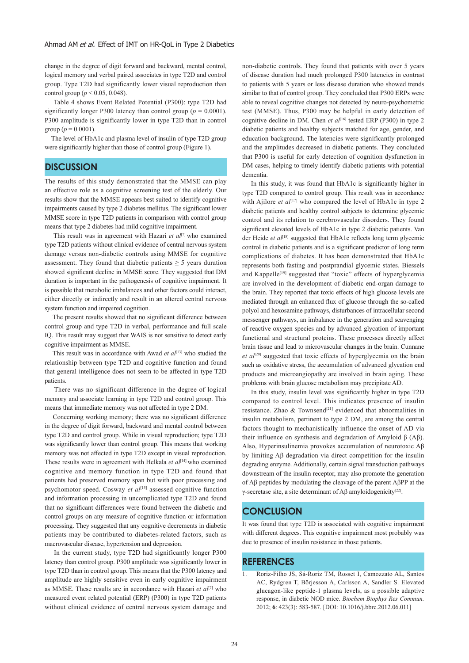change in the degree of digit forward and backward, mental control, logical memory and verbal paired associates in type T2D and control group. Type T2D had significantly lower visual reproduction than control group (*p* < 0.05, 0.048).

 Table 4 shows Event Related Potential (P300): type T2D had significantly longer P300 latency than control group ( $p = 0.0001$ ). P300 amplitude is significantly lower in type T2D than in control group ( $p = 0.0001$ ).

 The level of HbA1c and plasma level of insulin of type T2D group were significantly higher than those of control group (Figure 1).

# **DISCUSSION**

The results of this study demonstrated that the MMSE can play an effective role as a cognitive screening test of the elderly. Our results show that the MMSE appears best suited to identify cognitive impairments caused by type 2 diabetes mellitus. The significant lower MMSE score in type T2D patients in comparison with control group means that type 2 diabetes had mild cognitive impairment.

 This result was in agreement with Hazari *et al*[7] who examined type T2D patients without clinical evidence of central nervous system damage versus non-diabetic controls using MMSE for cognitive assessment. They found that diabetic patients  $\geq$  5 years duration showed significant decline in MMSE score. They suggested that DM duration is important in the pathogenesis of cognitive impairment. It is possible that metabolic imbalances and other factors could interact, either directly or indirectly and result in an altered central nervous system function and impaired cognition.

 The present results showed that no significant difference between control group and type T2D in verbal, performance and full scale IQ. This result may suggest that WAIS is not sensitive to detect early cognitive impairment as MMSE.

This result was in accordance with Awad et al<sup>[13]</sup> who studied the relationship between type T2D and cognitive function and found that general intelligence does not seem to be affected in type T2D patients.

 There was no significant difference in the degree of logical memory and associate learning in type T2D and control group. This means that immediate memory was not affected in type 2 DM.

 Concerning working memory; there was no significant difference in the degree of digit forward, backward and mental control between type T2D and control group. While in visual reproduction; type T2D was significantly lower than control group. This means that working memory was not affected in type T2D except in visual reproduction. These results were in agreement with Helkala et al<sup>[14]</sup> who examined cognitive and memory function in type T2D and found that patients had preserved memory span but with poor processing and psychomotor speed. Cosway et al<sup>[15]</sup> assessed cognitive function and information processing in uncomplicated type T2D and found that no significant differences were found between the diabetic and control groups on any measure of cognitive function or information processing. They suggested that any cognitive decrements in diabetic patients may be contributed to diabetes-related factors, such as macrovascular disease, hypertension and depression.

 In the current study, type T2D had significantly longer P300 latency than control group. P300 amplitude was significantly lower in type T2D than in control group. This means that the P300 latency and amplitude are highly sensitive even in early cognitive impairment as MMSE. These results are in accordance with Hazari *et al*[7] who measured event related potential (ERP) (P300) in type T2D patients without clinical evidence of central nervous system damage and non-diabetic controls. They found that patients with over 5 years of disease duration had much prolonged P300 latencies in contrast to patients with 5 years or less disease duration who showed trends similar to that of control group. They concluded that P300 ERPs were able to reveal cognitive changes not detected by neuro-psychometric test (MMSE). Thus, P300 may be helpful in early detection of cognitive decline in DM. Chen et al<sup>[16]</sup> tested ERP (P300) in type 2 diabetic patients and healthy subjects matched for age, gender, and education background. The latencies were significantly prolonged and the amplitudes decreased in diabetic patients. They concluded that P300 is useful for early detection of cognition dysfunction in DM cases, helping to timely identify diabetic patients with potential dementia.

 In this study, it was found that HbA1c is significantly higher in type T2D compared to control group. This result was in accordance with Ajilore et al<sup>[17]</sup> who compared the level of HbA1c in type 2 diabetic patients and healthy control subjects to determine glycemic control and its relation to cerebrovascular disorders. They found significant elevated levels of HbA1c in type 2 diabetic patients. Van der Heide *et al*[18] suggested that HbA1c reflects long term glycemic control in diabetic patients and is a significant predictor of long term complications of diabetes. It has been demonstrated that HbA1c represents both fasting and postprandial glycemic states. Biessels and Kappelle<sup>[19]</sup> suggested that "toxic" effects of hyperglycemia are involved in the development of diabetic end-organ damage to the brain. They reported that toxic effects of high glucose levels are mediated through an enhanced flux of glucose through the so-called polyol and hexosamine pathways, disturbances of intracellular second messenger pathways, an imbalance in the generation and scavenging of reactive oxygen species and by advanced glycation of important functional and structural proteins. These processes directly affect brain tissue and lead to microvascular changes in the brain. Cunnane et al<sup>[20]</sup> suggested that toxic effects of hyperglycemia on the brain such as oxidative stress, the accumulation of advanced glycation end products and microangiopathy are involved in brain aging. These problems with brain glucose metabolism may precipitate AD.

 In this study, insulin level was significantly higher in type T2D compared to control level. This indicates presence of insulin resistance. Zhao & Townsend<sup>[21]</sup> evidenced that abnormalities in insulin metabolism, pertinent to type 2 DM, are among the central factors thought to mechanistically influence the onset of AD via their influence on synthesis and degradation of Amyloid β (Aβ). Also, Hyperinsulinemia provokes accumulation of neurotoxic Aβ by limiting Aβ degradation via direct competition for the insulin degrading enzyme. Additionally, certain signal transduction pathways downstream of the insulin receptor, may also promote the generation of Aβ peptides by modulating the cleavage of the parent AβPP at the γ-secretase site, a site determinant of Aβ amyloidogenicity<sup>[22]</sup>.

# **CONCLUSION**

It was found that type T2D is associated with cognitive impairment with different degrees. This cognitive impairment most probably was due to presence of insulin resistance in those patients.

### **REFERENCES**

1. Roriz-Filho JS, Sá-Roriz TM, Rosset I, Camozzato AL, Santos AC, Rydgren T, Börjesson A, Carlsson A, Sandler S. Elevated glucagon-like peptide-1 plasma levels, as a possible adaptive response, in diabetic NOD mice. *Biochem Biophys Res Commun.*  2012; **6**: 423(3): 583-587. [DOI: 10.1016/j.bbrc.2012.06.011]